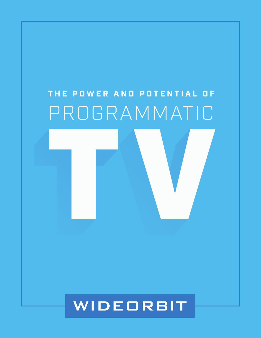# THE POWER AND POTENTIAL OF PROGRAMMATIC

## WIDEORBIT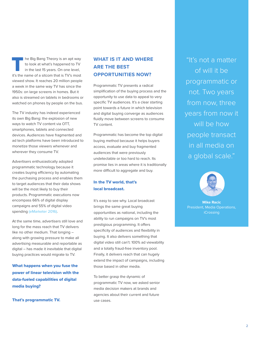he Big Bang Theory is an apt way to look at what's happened to TV in the last 15 years. On one level, In the Big Bang Theory is an apt way<br>to look at what's happened to TV<br>in the last 15 years. On one level,<br>it's the name of a sitcom that is TV's most viewed show. It reaches 20 million people a week in the same way TV has since the 1950s: on large screens in homes. But it also is streamed on tablets in bedrooms or watched on phones by people on the bus.

The TV industry has indeed experienced its own Big Bang: the explosion of new ways to watch TV content via OTT, smartphones, tablets and connected devices. Audiences have fragmented and ad tech platforms have been introduced to monetize those viewers whenever and wherever they consume TV.

Advertisers enthusiastically adopted programmatic technology because it creates buying efficiency by automating the purchasing process and enables them to target audiences that their data shows will be the most likely to buy their products. Programmatic executions now encompass 66% of digital display campaigns and 55% of digital video spendin[g \(eMarketer 2016\).](http://www.emarketer.com/Article/More-Than-Two-Thirds-of-US-Digital-Display-Ad-Spending-Programmatic/1013789)

At the same time, advertisers still love and long for the mass reach that TV delivers like no other medium. That longing – along with growing pressure to make all advertising measurable and reportable as digital – has made it inevitable that digital buying practices would migrate to TV.

What happens when you fuse the power of linear television with the data-fueled capabilities of digital media buying?

That's programmatic TV.

### **WHAT IS IT AND WHERE ARE THE BEST OPPORTUNITIES NOW?**

Programmatic TV presents a radical simplification of the buying process and the opportunity to use data to appeal to very specific TV audiences. It's a clear starting point towards a future in which television and digital buying converge as audiences fluidly move between screens to consume TV content.

Programmatic has become the top digital buying method because it helps buyers access, evaluate and buy fragmented audiences that were previously undetectable or too hard to reach. Its promise lies in areas where it is traditionally more difficult to aggregate and buy.

#### In the TV world, that's local broadcast.

It's easy to see why. Local broadcast brings the same great buying opportunities as national, including the ability to run campaigns on TV's most prestigious programming. It offers specificity of audiences and flexibility in buying. It also delivers something that digital video still can't: 100% ad viewability and a totally fraud-free inventory pool. Finally, it delivers reach that can hugely extend the impact of campaigns, including those based in other media.

To better grasp the dynamic of programmatic TV now, we asked senior media decision makers at brands and agencies about their current and future use cases.

"It's not a matter of will it be programmatic or not. Two years from now, three years from now it will be how people transact in all media on a global scale."

**Mike Racic** President, Media Operations, iCrossing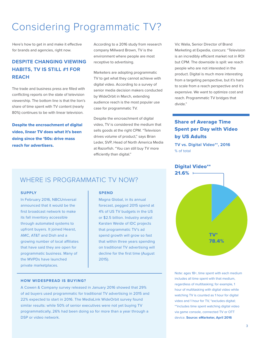### Considering Programmatic TV?

Here's how to get in and make it effective for brands and agencies, right now.

### **DESPITE CHANGING VIEWING HABITS, TV IS STILL #1 FOR REACH**

The trade and business press are filled with conflicting reports on the state of television viewership. The bottom line is that the lion's share of time spent with TV content (nearly 80%) continues to be with linear television.

Despite the encroachment of digital video, linear TV does what it's been doing since the '50s: drive mass reach for advertisers.

According to a 2016 study from research company Millward Brown, TV is the environment where people are most receptive to advertising.

Marketers are adopting programmatic TV to get what they cannot achieve with digital video. According to a survey of senior media decision makers conducted by WideOrbit in March, extending audience reach is the most popular use case for programmatic TV.

Despite the encroachment of digital video, TV is considered the medium that sells goods at the right CPM. "Television drives volume of product," says Brian Leder, SVP, Head of North America Media at Razorfish. "You can still buy TV more efficiently than digital."

Vic Walia, Senior Director of Brand Marketing at Expedia, concurs: "Television is an incredibly efficient market not in ROI but CPM. The downside is spill: we reach people who are not interested in the product. Digital is much more interesting from a targeting perspective, but it's hard to scale from a reach perspective and it's expensive. We want to optimize cost and reach. Programmatic TV bridges that divide."

### Share of Average Time Spent per Day with Video by US Adults

**TV vs. Digital Video\*\*, 2016** % of total

### Digital Video\*\*



### WHERE IS PROGRAMMATIC TV NOW?

#### **SUPPLY**

In February 2016, NBCUniversal announced that it would be the first broadcast network to make its fall inventory accessible through automated systems to upfront buyers. It joined Hearst, AMC, AT&T and Dish and a growing number of local affiliates that have said they are open for programmatic business. Many of the MVPDs have launched private marketplaces.

#### **SPEND**

Magna Global, in its annual forecast, pegged 2015 spend at 4% of US TV budgets in the US or \$2.5 billion. Industry analyst Karsten Weide of IDC projects that programmatic TV's ad spend growth will grow so fast that within three years spending on traditional TV advertising will decline for the first time (August 2015).

#### **HOW WIDESPREAD IS BUYING?**

A Cowen & Company survey released in January 2016 showed that 29% of ad buyers used programmatic for traditional TV advertising in 2015 and 22% expected to start in 2016. The MediaLink WideOrbit survey found similar results: while 50% of senior executives were not yet buying TV programmatically, 26% had been doing so for more than a year through a DSP or video network.

Note: ages 18+, time spent with each medium includes all time spent with that medium, regardless of multitasking; for example, 1 hour of multitasking with digital video while watching TV is counted as 1 hour for digital video and 1 hour for TV, \*excludes digital; \*\*includes time spent watching digital video via game console, connected TV or OTT device. **Source: eMarketer, April 2016**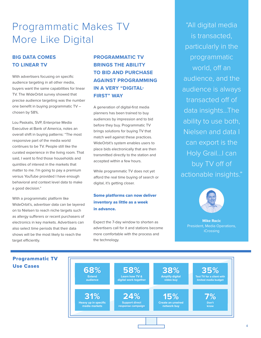### Programmatic Makes TV More Like Digital

### **BIG DATA COMES TO LINEAR TV**

With advertisers focusing on specific audience targeting in all other media, buyers want the same capabilities for linear TV. The WideOrbit survey showed that precise audience targeting was the number one benefit in buying programmatic TV – chosen by 58%.

Lou Paskalis, SVP, Enterprise Media Executive at Bank of America, notes an overall shift in buying patterns: "The most responsive part of the media world continues to be TV. People still like the curated experience in the living room. That said, I want to find those households and quintiles of interest in the markets that matter to me. I'm going to pay a premium versus YouTube provided I have enough behavioral and context level data to make a good decision."

With a programmatic platform like WideOrbit's, advertiser data can be layered on to Nielsen to reach niche targets such as allergy sufferers or recent purchasers of electronics in key markets. Advertisers can also select time periods that their data shows will be the most likely to reach the target efficiently.

### **PROGRAMMATIC TV BRINGS THE ABILITY TO BID AND PURCHASE AGAINST PROGRAMMING IN A VERY "DIGITAL-FIRST" WAY**

A generation of digital-first media planners has been trained to buy audiences by impression and to bid before they buy. Programmatic TV brings solutions for buying TV that match well against these practices. WideOrbit's system enables users to place bids electronically that are then transmitted directly to the station and accepted within a few hours.

While programmatic TV does not yet afford the real time buying of search or digital, it's getting closer.

### Some platforms can now deliver inventory as little as a week in advance.

Expect the 7-day window to shorten as advertisers call for it and stations become more comfortable with the process and the technology.

"All digital media is transacted, particularly in the programmatic world, off an audience, and the audience is always transacted off of data insights...The ability to use both, Nielsen and data I can export is the Holy Grail...I can buy TV off of actionable insights."



**Mike Racic** President, Media Operations, iCrossing



#### 4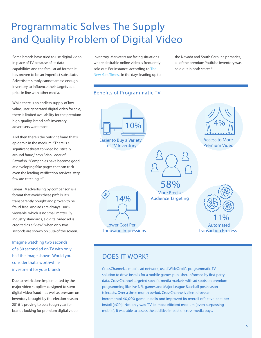### Programmatic Solves The Supply and Quality Problem of Digital Video

Some brands have tried to use digital video in place of TV because of its data capabilities and the familiar ad format. It has proven to be an imperfect substitute. Advertisers simply cannot amass enough inventory to influence their targets at a price in line with other media.

While there is an endless supply of low value, user-generated digital video for sale, there is limited availability for the premium high-quality, brand-safe inventory advertisers want most.

And then there's the outright fraud that's epidemic in the medium. "There is a significant threat to video holistically around fraud," says Brian Leder of Razorfish. "Companies have become good at developing fake pages that can trick even the leading verification services. Very few are catching it."

Linear TV advertising by comparison is a format that avoids these pitfalls. It's transparently bought and proven to be fraud-free. And ads are always 100% viewable, which is no small matter. By industry standards, a digital video ad is credited as a "view" when only two seconds are shown on 50% of the screen.

**Imagine watching two seconds of a 30 second ad on TV with only half the image shown. Would you consider that a worthwhile investment for your brand?**

Due to restrictions implemented by the major video suppliers designed to stem digital video fraud – as well as pressure on inventory brought by the election season – 2016 is proving to be a tough year for brands looking for premium digital video

inventory. Marketers are facing situations where desirable online video is frequently sold out. For instance, according to The [New York Times, in](http://www.nytimes.com/politics/first-draft/2016/02/18/youtube-runs-out-of-ad-inventory-in-nevada-and-south-carolina/?_r=0) the days leading up to

### Benefits of Programmatic TV

**10% Easier to Buy a Variety of TV Inventory Lower Cost Per Thousand Impressions Automated Transaction Process More Precise Audience Targeting Access to More Premium Video 14% 11% 58% 4%**

the Nevada and South Carolina primaries, all of the premium YouTube inventory was

sold out in both states.\*

### DOES IT WORK?

CrossChannel, a mobile ad network, used WideOrbit's programmatic TV solution to drive installs for a mobile games publisher. Informed by first-party data, CrossChannel targeted specific media markets with ad spots on premium programming like live NFL games and Major League Baseball postseason telecasts. Over a three month period, CrossChannel's client drove an incremental 40,000 game installs and improved its overall effective cost per install (eCPI). Not only was TV its most efficient medium (even surpassing mobile), it was able to assess the additive impact of cross-media buys.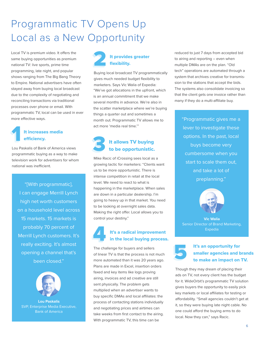### Programmatic TV Opens Up Local as a New Opportunity

Local TV is premium video. It offers the same buying opportunities as premium national TV: live sports, prime time programming, late night, and popular shows ranging from The Big Bang Theory to Empire. National advertisers have often stayed away from buying local broadcast due to the complexity of negotiating and reconciling transactions via traditional processes over phone or email. With programmatic TV, local can be used in ever more effective ways.

### It increases media efficiency.

Lou Paskalis of Bank of America views programmatic buying as a way to make television work for advertisers for whom national was inefficient.

"[With programmatic], I can engage Merrill Lynch high net worth customers on a household level across 15 markets. 15 markets is probably 70 percent of Merrill Lynch customers. It's really exciting. It's almost opening a channel that's been closed."



**Lou Paskalis** SVP, Enterprise Media Executive, Bank of America

### It provides greater flexibility.

Buying local broadcast TV programmatically gives much needed budget flexibility to marketers. Says Vic Walia of Expedia: "We've got allocations in the upfront, which is an annual commitment that we make several months in advance. We're also in the scatter marketplace where we're buying things a quarter out and sometimes a month out. Programmatic TV allows me to act more 'media real time.'"

### It allows TV buying to be opportunistic.

Mike Racic of iCrossing sees local as a growing tactic for marketers: "Clients want us to be more opportunistic. There is intense competition in retail at the local level. We need to react to what is happening in the marketplace. When sales are down in a particular dealership. I'm going to heavy up in that market. You need to be looking at overnight sales data. Making the right offer. Local allows you to control your destiny."



### It's a radical improvement in the local buying process.

The challenge for buyers and sellers of linear TV is that the process is not much more automated than it was 20 years ago. Plans are made in Excel, insertion orders faxed and key items like logs proving airing, invoices and ad creative are still sent physically. The problem gets multiplied when an advertiser wants to buy specific DMAs and local affiliates: the process of contacting stations individually and negotiating prices and airtimes can take weeks from first contact to the airing. With programmatic TV, this time can be

reduced to just 7 days from accepted bid to airing and reporting – even when multiple DMAs are on the plan. "Old tech" operations are automated through a system that archives creative for transmission to the stations that accept the bids. The systems also consolidate invoicing so that the client gets one invoice rather than many if they do a multi-affiliate buy.

"Programmatic gives me a lever to investigate these options. In the past, local buys become very cumbersome when you start to scale them out, and take a lot of preplanning."



**Vic Walia** Senior Director of Brand Marketing, Expedia

### It's an opportunity for smaller agencies and brands to make an impact on TV.

Though they may dream of placing their ads on TV, not every client has the budget for it. WideOrbit's programmatic TV solution gives buyers the opportunity to easily pick key markets or local affiliates for testing or affordability. "Small agencies couldn't get at it, so they were buying late night cable. No one could afford the buying arms to do local. Now they can," says Racic.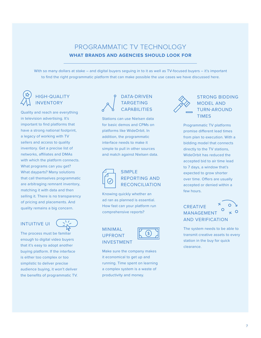### PROGRAMMATIC TV TECHNOLOGY **WHAT BRANDS AND AGENCIES SHOULD LOOK FOR**

With so many dollars at stake – and digital buyers seguing in to it as well as TV-focused buyers – it's important to find the right programmatic platform that can make possible the use cases we have discussed here.

### HIGH-QUALITY INVENTORY

Quality and reach are everything in television advertising. It's important to find platforms that have a strong national footprint, a legacy of working with TV sellers and access to quality inventory. Get a precise list of networks, affiliates and DMAs with which the platform connects. What programs can you get? What dayparts? Many solutions that call themselves programmatic are arbitraging remnant inventory, matching it with data and then selling it. There is no transparency of pricing and placements. And quality remains a big concern.

### INTUITIVE UI

The process must be familiar enough to digital video buyers that it's easy to adopt another buying platform. If the interface is either too complex or too simplistic to deliver precise audience buying, it won't deliver the benefits of programmatic TV.

### DATA-DRIVEN TARGETING CAPABILITIES

Stations can use Nielsen data for basic demos and CPMs on platforms like WideOrbit. In addition, the programmatic interface needs to make it simple to pull in other sources and match against Nielsen data.



### SIMPLE REPORTING AND RECONCILIATION

Knowing quickly whether an ad ran as planned is essential. How fast can your platform run comprehensive reports?

#### MINIMAL UPFRONT INVESTMENT



Make sure the company makes it economical to get up and running. Time spent on learning a complex system is a waste of productivity and money.



### STRONG BIDDING MODEL AND TURN-AROUND TIMES

Programmatic TV platforms promise different lead times from plan to execution. With a bidding model that connects directly to the TV stations, WideOrbit has reduced the accepted bid to air time lead to 7 days, a window that's expected to grow shorter over time. Offers are usually accepted or denied within a few hours.

### **CREATIVE** MANAGEMENT AND VERIFICATION

The system needs to be able to transmit creative assets to every station in the buy for quick clearance.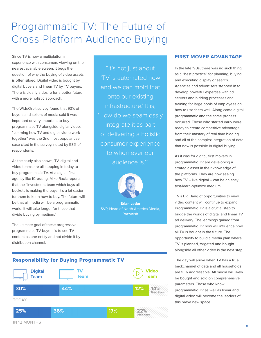### Programmatic TV: The Future of Cross-Platform Audience Buying

Since TV is now a multiplatform experience with consumers viewing on the nearest available screen, it begs the question of why the buying of video assets is often siloed. Digital video is bought by digital buyers and linear TV by TV buyers. There is clearly a desire for a better future with a more holistic approach.

The WideOrbit survey found that 93% of buyers and sellers of media said it was important or very important to buy programmatic TV alongside digital video. "Learning how TV and digital video work together" was the 2nd most popular use case cited in the survey, noted by 58% of respondents.

As the study also shows, TV, digital and video teams are all stepping in today to buy programmatic TV. At a digital-first agency like iCrossing, Mike Racic reports that the "investment team which buys all buckets is making the buys. It's a lot easier for them to learn how to buy. The future will be that all media will be a programmatic world. It will take longer for those that divide buying by medium."

The ultimate goal of these progressive programmatic TV buyers is to see TV content as one entity and not divide it by distribution channel.

"It's not just about 'TV is automated now and we can mold that onto our existing infrastructure.' It is, 'How do we seamlessly integrate it as part of delivering a holistic consumer experience to whomever our audience is.'"



**Brian Leder** SVP, Head of North America Media, Razorfish

### **FIRST MOVER ADVANTAGE**

In the late '90s, there was no such thing as a "best practice" for planning, buying and executing display or search. Agencies and advertisers stepped in to develop powerful expertise with ad servers and bidding processes and training for large pools of employees on how to use them well. Along came digital programmatic and the same process occurred. Those who started early were ready to create competitive advantage from their mastery of real time bidding and all of the complex integration of data that now is possible in digital buying.

As it was for digital, first movers in programmatic TV are developing a strategic asset in their knowledge of the platforms. They are now seeing how TV – like digital – can be an easy test-learn-optimize medium.

TV's Big Bang of opportunities to view video content will continue to expand. Programmatic TV is a crucial step to bridge the worlds of digital and linear TV ad delivery. The learnings gained from programmatic TV now will influence how all TV is bought in the future. The opportunity to build a media plan where TV is planned, targeted and bought alongside all other video is the next step.

The day will arrive when TV has a true backchannel of data and all households are fully addressable. All media will likely be bought and sold on comprehensive parameters. Those who know programmatic TV as well as linear and digital video will become the leaders of this brave new space.

### Responsibility for Buying Programmatic TV